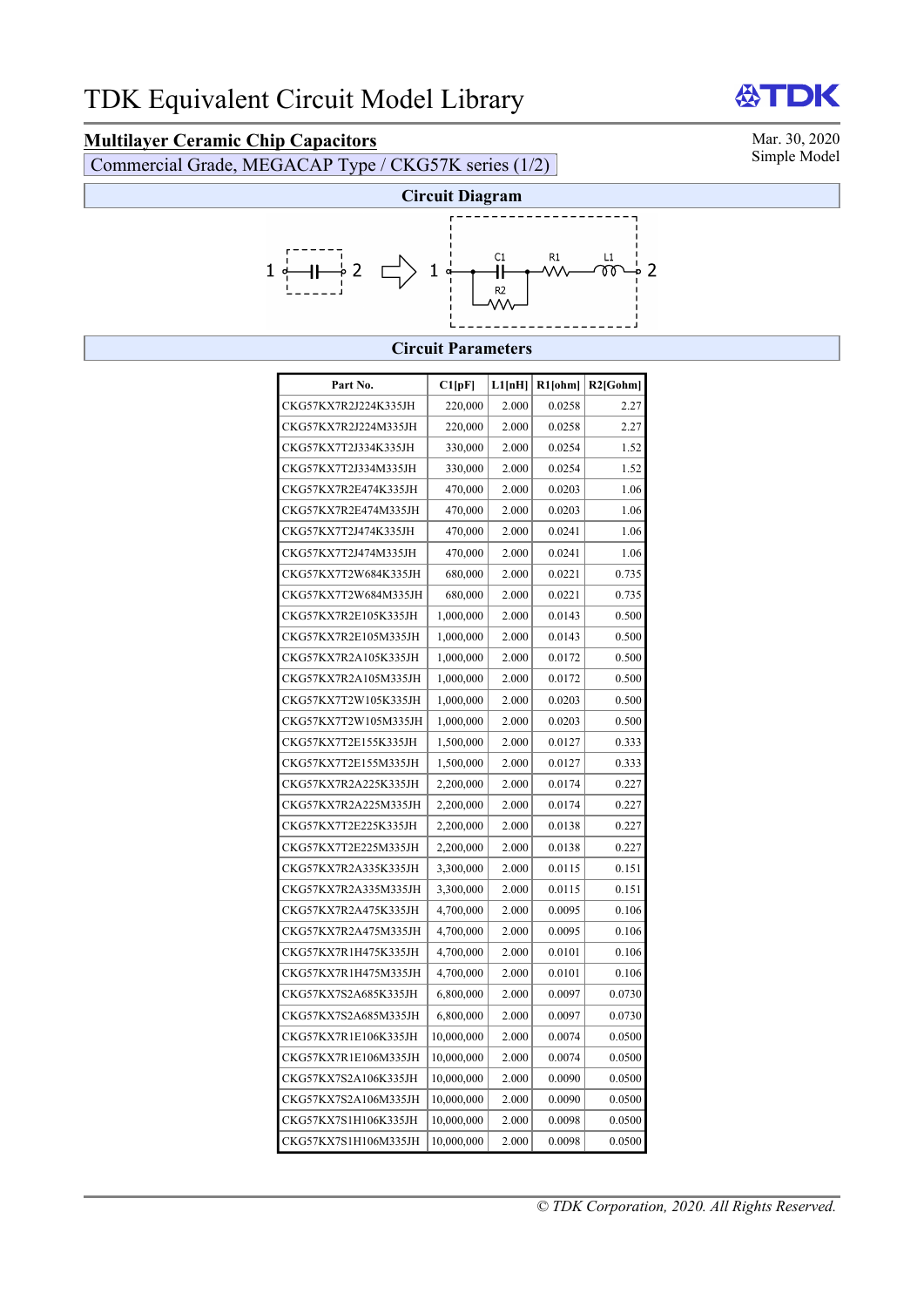## **Multilayer Ceramic Chip Capacitors**<br>
Commercial Grade, MEGACAR Type (CKG57K series (1/2) Simple Model

Commercial Grade, MEGACAP Type / CKG57K series (1/2)



**AST** 

DK



## **Circuit Parameters**

| Part No.             | Cl[pF]     | L1[nH] | $R1$ [ohm] | $R2$ [Gohm] |
|----------------------|------------|--------|------------|-------------|
| CKG57KX7R2J224K335JH | 220,000    | 2.000  | 0.0258     | 2.27        |
| CKG57KX7R2J224M335JH | 220,000    | 2.000  | 0.0258     | 2.27        |
| CKG57KX7T2J334K335JH | 330,000    | 2.000  | 0.0254     | 1.52        |
| CKG57KX7T2J334M335JH | 330,000    | 2.000  | 0.0254     | 1.52        |
| CKG57KX7R2E474K335JH | 470,000    | 2.000  | 0.0203     | 1.06        |
| CKG57KX7R2E474M335JH | 470,000    | 2.000  | 0.0203     | 1.06        |
| CKG57KX7T2J474K335JH | 470,000    | 2.000  | 0.0241     | 1.06        |
| CKG57KX7T2J474M335JH | 470,000    | 2.000  | 0.0241     | 1.06        |
| CKG57KX7T2W684K335JH | 680,000    | 2.000  | 0.0221     | 0.735       |
| CKG57KX7T2W684M335JH | 680,000    | 2.000  | 0.0221     | 0.735       |
| CKG57KX7R2E105K335JH | 1,000,000  | 2.000  | 0.0143     | 0.500       |
| CKG57KX7R2E105M335JH | 1,000,000  | 2.000  | 0.0143     | 0.500       |
| CKG57KX7R2A105K335JH | 1,000,000  | 2.000  | 0.0172     | 0.500       |
| CKG57KX7R2A105M335JH | 1,000,000  | 2.000  | 0.0172     | 0.500       |
| CKG57KX7T2W105K335JH | 1,000,000  | 2.000  | 0.0203     | 0.500       |
| CKG57KX7T2W105M335JH | 1,000,000  | 2.000  | 0.0203     | 0.500       |
| CKG57KX7T2E155K335JH | 1,500,000  | 2.000  | 0.0127     | 0.333       |
| CKG57KX7T2E155M335JH | 1,500,000  | 2.000  | 0.0127     | 0.333       |
| CKG57KX7R2A225K335JH | 2,200,000  | 2.000  | 0.0174     | 0.227       |
| CKG57KX7R2A225M335JH | 2,200,000  | 2.000  | 0.0174     | 0.227       |
| CKG57KX7T2E225K335JH | 2,200,000  | 2.000  | 0.0138     | 0.227       |
| CKG57KX7T2E225M335JH | 2,200,000  | 2.000  | 0.0138     | 0.227       |
| CKG57KX7R2A335K335JH | 3,300,000  | 2.000  | 0.0115     | 0.151       |
| CKG57KX7R2A335M335JH | 3,300,000  | 2.000  | 0.0115     | 0.151       |
| CKG57KX7R2A475K335JH | 4,700,000  | 2.000  | 0.0095     | 0.106       |
| CKG57KX7R2A475M335JH | 4,700,000  | 2.000  | 0.0095     | 0.106       |
| CKG57KX7R1H475K335JH | 4,700,000  | 2.000  | 0.0101     | 0.106       |
| CKG57KX7R1H475M335JH | 4,700,000  | 2.000  | 0.0101     | 0.106       |
| CKG57KX7S2A685K335JH | 6,800,000  | 2.000  | 0.0097     | 0.0730      |
| CKG57KX7S2A685M335JH | 6,800,000  | 2.000  | 0.0097     | 0.0730      |
| CKG57KX7R1E106K335JH | 10,000,000 | 2.000  | 0.0074     | 0.0500      |
| CKG57KX7R1E106M335JH | 10,000,000 | 2.000  | 0.0074     | 0.0500      |
| CKG57KX7S2A106K335JH | 10,000,000 | 2.000  | 0.0090     | 0.0500      |
| CKG57KX7S2A106M335JH | 10,000,000 | 2.000  | 0.0090     | 0.0500      |
| CKG57KX7S1H106K335JH | 10,000,000 | 2.000  | 0.0098     | 0.0500      |
| CKG57KX7S1H106M335JH | 10,000,000 | 2.000  | 0.0098     | 0.0500      |

*© TDK Corporation, 2020. All Rights Reserved.*